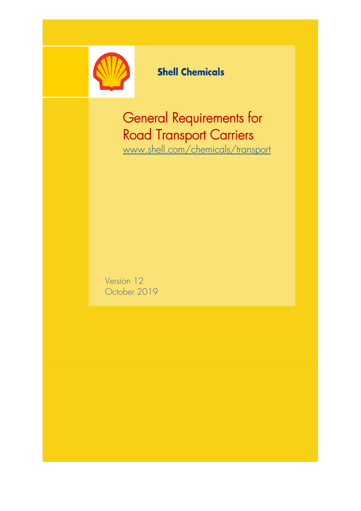

# **Shell Chemicals**

General Requirements for Road Transport Carriers [www.shell.com/chemicals/transport](https://www.shell.com/business-customers/chemicals/safe-product-handling-and-transportation/on-site-collection-requirements.html#vanity-aHR0cHM6Ly93d3cuc2hlbGwuY29tL2NoZW1pY2Fscy90cmFuc3BvcnQ) 

Version 12 October 2019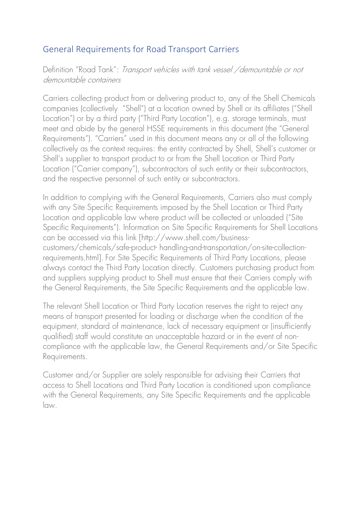## General Requirements for Road Transport Carriers

Definition "Road Tank": Transport vehicles with tank vessel /demountable or not demountable containers

Carriers collecting product from or delivering product to, any of the Shell Chemicals companies (collectively "Shell") at a location owned by Shell or its affiliates ("Shell Location") or by a third party ("Third Party Location"), e.g. storage terminals, must meet and abide by the general HSSE requirements in this document (the "General Requirements"). "Carriers" used in this document means any or all of the following collectively as the context requires: the entity contracted by Shell, Shell's customer or Shell's supplier to transport product to or from the Shell Location or Third Party Location ("Carrier company"), subcontractors of such entity or their subcontractors, and the respective personnel of such entity or subcontractors.

In addition to complying with the General Requirements, Carriers also must comply with any Site Specific Requirements imposed by the Shell Location or Third Party Location and applicable law where product will be collected or unloaded ("Site Specific Requirements"). Information on Site Specific Requirements for Shell Locations can be accessed via this link [http://www.shell.com/businesscustomers/chemicals/safe-product- handling-and-transportation/on-site-collectionrequirements.html]. For Site Specific Requirements of Third Party Locations, please always contact the Third Party Location directly. Customers purchasing product from and suppliers supplying product to Shell must ensure that their Carriers comply with

The relevant Shell Location or Third Party Location reserves the right to reject any means of transport presented for loading or discharge when the condition of the equipment, standard of maintenance, lack of necessary equipment or (insufficiently qualified) staff would constitute an unacceptable hazard or in the event of noncompliance with the applicable law, the General Requirements and/or Site Specific Requirements.

the General Requirements, the Site Specific Requirements and the applicable law.

Customer and/or Supplier are solely responsible for advising their Carriers that access to Shell Locations and Third Party Location is conditioned upon compliance with the General Requirements, any Site Specific Requirements and the applicable law.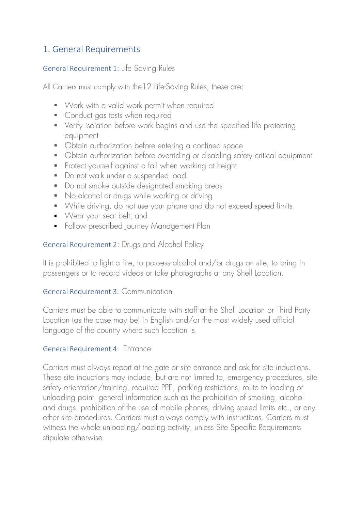## 1. General Requirements

#### General Requirement 1: Life Saving Rules

All Carriers must comply with the12 Life-Saving Rules, these are:

- Work with a valid work permit when required
- Conduct gas tests when required
- Verify isolation before work begins and use the specified life protecting equipment
- Obtain authorization before entering a confined space
- Obtain authorization before overriding or disabling safety critical equipment
- Protect yourself against a fall when working at height
- Do not walk under a suspended load
- Do not smoke outside designated smoking areas
- No alcohol or drugs while working or driving
- While driving, do not use your phone and do not exceed speed limits
- Wear your seat belt; and
- **•** Follow prescribed Journey Management Plan

General Requirement 2: Drugs and Alcohol Policy

It is prohibited to light a fire, to possess alcohol and/or drugs on site, to bring in passengers or to record videos or take photographs at any Shell Location.

#### General Requirement 3: Communication

Carriers must be able to communicate with staff at the Shell Location or Third Party Location (as the case may be) in English and/or the most widely used official language of the country where such location is.

### General Requirement 4: Entrance

Carriers must always report at the gate or site entrance and ask for site inductions. These site inductions may include, but are not limited to, emergency procedures, site safety orientation/training, required PPE, parking restrictions, route to loading or unloading point, general information such as the prohibition of smoking, alcohol and drugs, prohibition of the use of mobile phones, driving speed limits etc., or any other site procedures. Carriers must always comply with instructions. Carriers must witness the whole unloading/loading activity, unless Site Specific Requirements stipulate otherwise.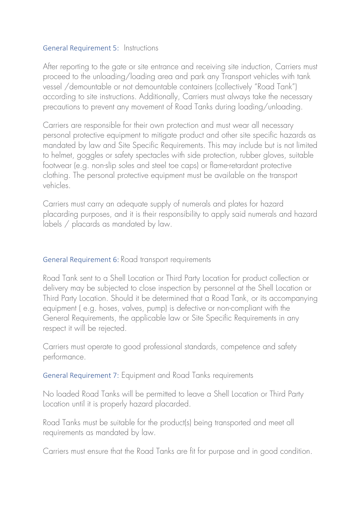#### General Requirement 5: Instructions

After reporting to the gate or site entrance and receiving site induction, Carriers must proceed to the unloading/loading area and park any Transport vehicles with tank vessel /demountable or not demountable containers (collectively "Road Tank") according to site instructions. Additionally, Carriers must always take the necessary precautions to prevent any movement of Road Tanks during loading/unloading.

Carriers are responsible for their own protection and must wear all necessary personal protective equipment to mitigate product and other site specific hazards as mandated by law and Site Specific Requirements. This may include but is not limited to helmet, goggles or safety spectacles with side protection, rubber gloves, suitable footwear (e.g. non-slip soles and steel toe caps) or flame-retardant protective clothing. The personal protective equipment must be available on the transport vehicles.

Carriers must carry an adequate supply of numerals and plates for hazard placarding purposes, and it is their responsibility to apply said numerals and hazard labels / placards as mandated by law.

#### General Requirement 6: Road transport requirements

Road Tank sent to a Shell Location or Third Party Location for product collection or delivery may be subjected to close inspection by personnel at the Shell Location or Third Party Location. Should it be determined that a Road Tank, or its accompanying equipment ( e.g. hoses, valves, pump) is defective or non-compliant with the General Requirements, the applicable law or Site Specific Requirements in any respect it will be rejected.

Carriers must operate to good professional standards, competence and safety performance.

General Requirement 7: Equipment and Road Tanks requirements

No loaded Road Tanks will be permitted to leave a Shell Location or Third Party Location until it is properly hazard placarded.

Road Tanks must be suitable for the product(s) being transported and meet all requirements as mandated by law.

Carriers must ensure that the Road Tanks are fit for purpose and in good condition.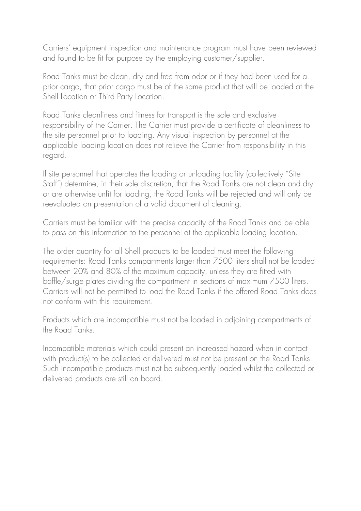Carriers' equipment inspection and maintenance program must have been reviewed and found to be fit for purpose by the employing customer/supplier.

Road Tanks must be clean, dry and free from odor or if they had been used for a prior cargo, that prior cargo must be of the same product that will be loaded at the Shell Location or Third Party Location.

Road Tanks cleanliness and fitness for transport is the sole and exclusive responsibility of the Carrier. The Carrier must provide a certificate of cleanliness to the site personnel prior to loading. Any visual inspection by personnel at the applicable loading location does not relieve the Carrier from responsibility in this regard.

If site personnel that operates the loading or unloading facility (collectively "Site Staff") determine, in their sole discretion, that the Road Tanks are not clean and dry or are otherwise unfit for loading, the Road Tanks will be rejected and will only be reevaluated on presentation of a valid document of cleaning.

Carriers must be familiar with the precise capacity of the Road Tanks and be able to pass on this information to the personnel at the applicable loading location.

The order quantity for all Shell products to be loaded must meet the following requirements: Road Tanks compartments larger than 7500 liters shall not be loaded between 20% and 80% of the maximum capacity, unless they are fitted with baffle/surge plates dividing the compartment in sections of maximum 7500 liters. Carriers will not be permitted to load the Road Tanks if the offered Road Tanks does not conform with this requirement.

Products which are incompatible must not be loaded in adjoining compartments of the Road Tanks.

Incompatible materials which could present an increased hazard when in contact with product(s) to be collected or delivered must not be present on the Road Tanks. Such incompatible products must not be subsequently loaded whilst the collected or delivered products are still on board.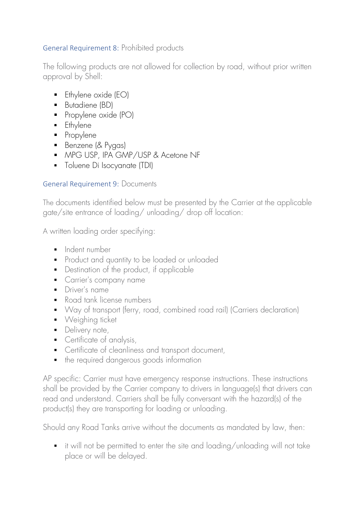### General Requirement 8: Prohibited products

The following products are not allowed for collection by road, without prior written approval by Shell:

- $\blacksquare$  Ethylene oxide (EO)
- Butadiene (BD)
- Propylene oxide (PO)
- **•** Ethylene
- Propylene
- Benzene (& Pygas)
- MPG USP, IPA GMP/USP & Acetone NF
- **•** Toluene Di Isocyanate (TDI)

### General Requirement 9: Documents

The documents identified below must be presented by the Carrier at the applicable gate/site entrance of loading/ unloading/ drop off location:

A written loading order specifying:

- **•** Indent number
- **•** Product and quantity to be loaded or unloaded
- Destination of the product, if applicable
- **•** Carrier's company name
- Driver's name
- Road tank license numbers
- Way of transport (ferry, road, combined road rail) (Carriers declaration)
- Weighing ticket
- Delivery note,
- Certificate of analysis,
- Certificate of cleanliness and transport document,
- the required dangerous goods information

AP specific: Carrier must have emergency response instructions. These instructions shall be provided by the Carrier company to drivers in language(s) that drivers can read and understand. Carriers shall be fully conversant with the hazard(s) of the product(s) they are transporting for loading or unloading.

Should any Road Tanks arrive without the documents as mandated by law, then:

■ it will not be permitted to enter the site and loading/unloading will not take place or will be delayed.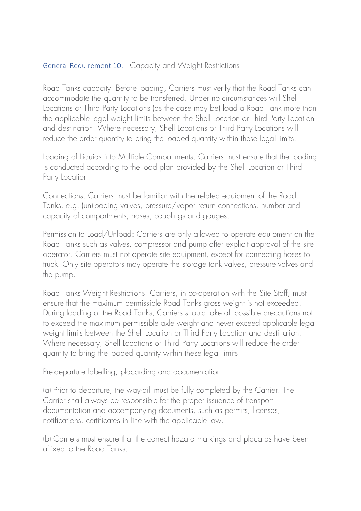#### General Requirement 10: Capacity and Weight Restrictions

Road Tanks capacity: Before loading, Carriers must verify that the Road Tanks can accommodate the quantity to be transferred. Under no circumstances will Shell Locations or Third Party Locations (as the case may be) load a Road Tank more than the applicable legal weight limits between the Shell Location or Third Party Location and destination. Where necessary, Shell Locations or Third Party Locations will reduce the order quantity to bring the loaded quantity within these legal limits.

Loading of Liquids into Multiple Compartments: Carriers must ensure that the loading is conducted according to the load plan provided by the Shell Location or Third Party Location.

Connections: Carriers must be familiar with the related equipment of the Road Tanks, e.g. (un)loading valves, pressure/vapor return connections, number and capacity of compartments, hoses, couplings and gauges.

Permission to Load/Unload: Carriers are only allowed to operate equipment on the Road Tanks such as valves, compressor and pump after explicit approval of the site operator. Carriers must not operate site equipment, except for connecting hoses to truck. Only site operators may operate the storage tank valves, pressure valves and the pump.

Road Tanks Weight Restrictions: Carriers, in co-operation with the Site Staff, must ensure that the maximum permissible Road Tanks gross weight is not exceeded. During loading of the Road Tanks, Carriers should take all possible precautions not to exceed the maximum permissible axle weight and never exceed applicable legal weight limits between the Shell Location or Third Party Location and destination. Where necessary, Shell Locations or Third Party Locations will reduce the order quantity to bring the loaded quantity within these legal limits

Pre-departure labelling, placarding and documentation:

(a) Prior to departure, the way-bill must be fully completed by the Carrier. The Carrier shall always be responsible for the proper issuance of transport documentation and accompanying documents, such as permits, licenses, notifications, certificates in line with the applicable law.

(b) Carriers must ensure that the correct hazard markings and placards have been affixed to the Road Tanks.